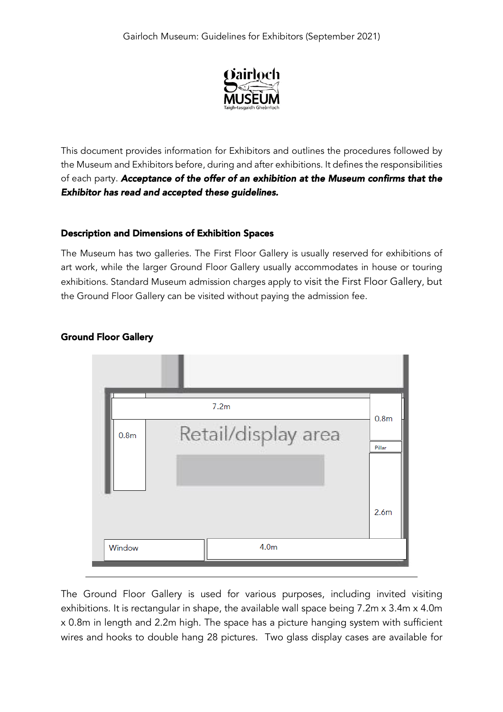

This document provides information for Exhibitors and outlines the procedures followed by the Museum and Exhibitors before, during and after exhibitions. It defines the responsibilities of each party. *Acceptance of the offer of an exhibition at the Museum confirms that the Exhibitor has read and accepted these guidelines.* 

### Description and Dimensions of Exhibition Spaces

The Museum has two galleries. The First Floor Gallery is usually reserved for exhibitions of art work, while the larger Ground Floor Gallery usually accommodates in house or touring exhibitions. Standard Museum admission charges apply to visit the First Floor Gallery, but the Ground Floor Gallery can be visited without paying the admission fee.



## Ground Floor Gallery

The Ground Floor Gallery is used for various purposes, including invited visiting exhibitions. It is rectangular in shape, the available wall space being 7.2m x 3.4m x 4.0m x 0.8m in length and 2.2m high. The space has a picture hanging system with sufficient wires and hooks to double hang 28 pictures. Two glass display cases are available for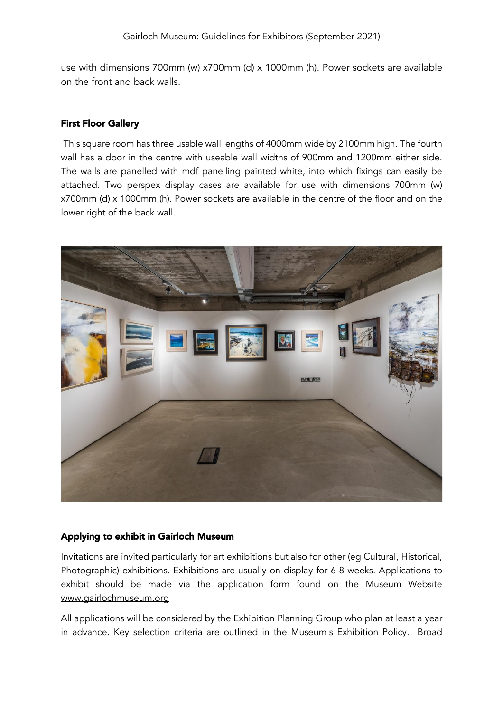use with dimensions 700mm (w) x700mm (d) x 1000mm (h). Power sockets are available on the front and back walls.

### First Floor Gallery

This square room has three usable wall lengths of 4000mm wide by 2100mm high. The fourth wall has a door in the centre with useable wall widths of 900mm and 1200mm either side. The walls are panelled with mdf panelling painted white, into which fixings can easily be attached. Two perspex display cases are available for use with dimensions 700mm (w) x700mm (d) x 1000mm (h). Power sockets are available in the centre of the floor and on the lower right of the back wall.



#### Applying to exhibit in Gairloch Museum

Invitations are invited particularly for art exhibitions but also for other (eg Cultural, Historical, Photographic) exhibitions. Exhibitions are usually on display for 6-8 weeks. Applications to exhibit should be made via the application form found on the Museum Website [www.gairlochmuseum.org](http://www.gairlochmuseum.org/)

All applications will be considered by the Exhibition Planning Group who plan at least a year in advance. Key selection criteria are outlined in the Museum s Exhibition Policy. Broad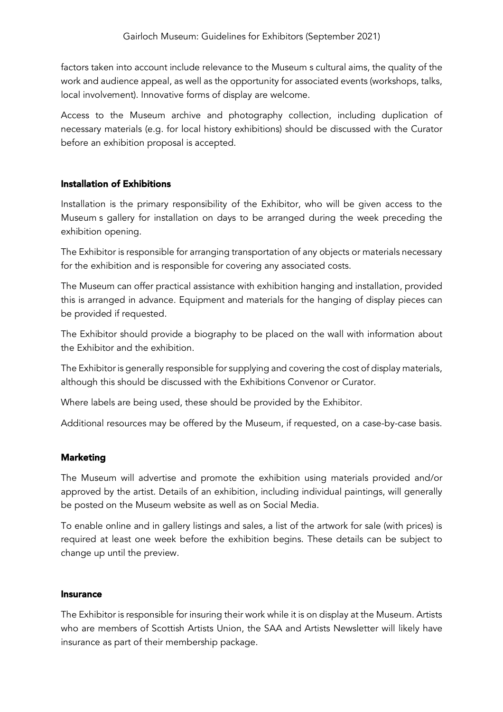factors taken into account include relevance to the Museum s cultural aims, the quality of the work and audience appeal, as well as the opportunity for associated events (workshops, talks, local involvement). Innovative forms of display are welcome.

Access to the Museum archive and photography collection, including duplication of necessary materials (e.g. for local history exhibitions) should be discussed with the Curator before an exhibition proposal is accepted.

## Installation of Exhibitions

Installation is the primary responsibility of the Exhibitor, who will be given access to the Museum s gallery for installation on days to be arranged during the week preceding the exhibition opening.

The Exhibitor is responsible for arranging transportation of any objects or materials necessary for the exhibition and is responsible for covering any associated costs.

The Museum can offer practical assistance with exhibition hanging and installation, provided this is arranged in advance. Equipment and materials for the hanging of display pieces can be provided if requested.

The Exhibitor should provide a biography to be placed on the wall with information about the Exhibitor and the exhibition.

The Exhibitor is generally responsible for supplying and covering the cost of display materials, although this should be discussed with the Exhibitions Convenor or Curator.

Where labels are being used, these should be provided by the Exhibitor.

Additional resources may be offered by the Museum, if requested, on a case-by-case basis.

## **Marketing**

The Museum will advertise and promote the exhibition using materials provided and/or approved by the artist. Details of an exhibition, including individual paintings, will generally be posted on the Museum website as well as on Social Media.

To enable online and in gallery listings and sales, a list of the artwork for sale (with prices) is required at least one week before the exhibition begins. These details can be subject to change up until the preview.

### Insurance

The Exhibitor is responsible for insuring their work while it is on display at the Museum. Artists who are members of Scottish Artists Union, the SAA and Artists Newsletter will likely have insurance as part of their membership package.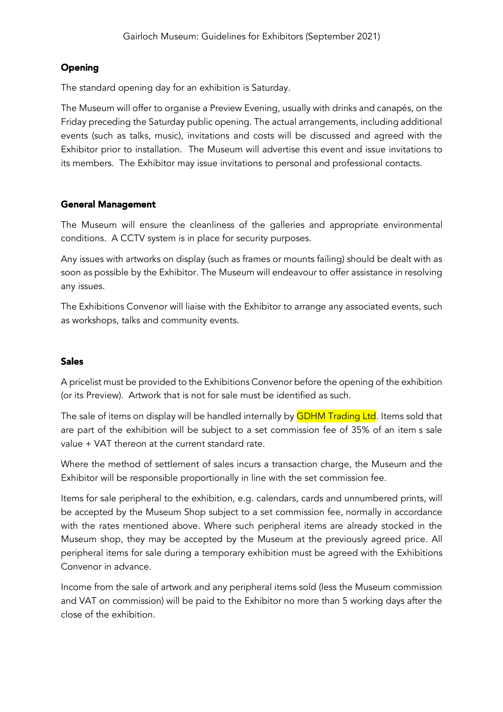# **Opening**

The standard opening day for an exhibition is Saturday.

The Museum will offer to organise a Preview Evening, usually with drinks and canapés, on the Friday preceding the Saturday public opening. The actual arrangements, including additional events (such as talks, music), invitations and costs will be discussed and agreed with the Exhibitor prior to installation. The Museum will advertise this event and issue invitations to its members. The Exhibitor may issue invitations to personal and professional contacts.

### General Management

The Museum will ensure the cleanliness of the galleries and appropriate environmental conditions. A CCTV system is in place for security purposes.

Any issues with artworks on display (such as frames or mounts failing) should be dealt with as soon as possible by the Exhibitor. The Museum will endeavour to offer assistance in resolving any issues.

The Exhibitions Convenor will liaise with the Exhibitor to arrange any associated events, such as workshops, talks and community events.

## Sales

A pricelist must be provided to the Exhibitions Convenor before the opening of the exhibition (or its Preview). Artwork that is not for sale must be identified as such.

The sale of items on display will be handled internally by **GDHM Trading Ltd**. Items sold that are part of the exhibition will be subject to a set commission fee of 35% of an item s sale value + VAT thereon at the current standard rate.

Where the method of settlement of sales incurs a transaction charge, the Museum and the Exhibitor will be responsible proportionally in line with the set commission fee.

Items for sale peripheral to the exhibition, e.g. calendars, cards and unnumbered prints, will be accepted by the Museum Shop subject to a set commission fee, normally in accordance with the rates mentioned above. Where such peripheral items are already stocked in the Museum shop, they may be accepted by the Museum at the previously agreed price. All peripheral items for sale during a temporary exhibition must be agreed with the Exhibitions Convenor in advance.

Income from the sale of artwork and any peripheral items sold (less the Museum commission and VAT on commission) will be paid to the Exhibitor no more than 5 working days after the close of the exhibition.